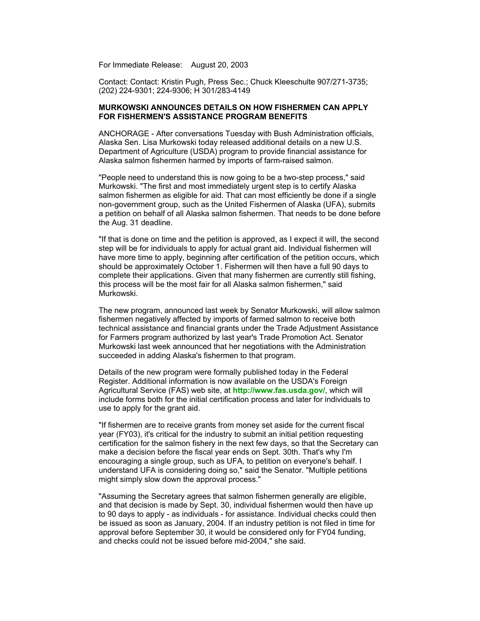For Immediate Release: August 20, 2003

Contact: Contact: Kristin Pugh, Press Sec.; Chuck Kleeschulte 907/271-3735; (202) 224-9301; 224-9306; H 301/283-4149

## **MURKOWSKI ANNOUNCES DETAILS ON HOW FISHERMEN CAN APPLY FOR FISHERMEN'S ASSISTANCE PROGRAM BENEFITS**

ANCHORAGE - After conversations Tuesday with Bush Administration officials, Alaska Sen. Lisa Murkowski today released additional details on a new U.S. Department of Agriculture (USDA) program to provide financial assistance for Alaska salmon fishermen harmed by imports of farm-raised salmon.

"People need to understand this is now going to be a two-step process," said Murkowski. "The first and most immediately urgent step is to certify Alaska salmon fishermen as eligible for aid. That can most efficiently be done if a single non-government group, such as the United Fishermen of Alaska (UFA), submits a petition on behalf of all Alaska salmon fishermen. That needs to be done before the Aug. 31 deadline.

"If that is done on time and the petition is approved, as I expect it will, the second step will be for individuals to apply for actual grant aid. Individual fishermen will have more time to apply, beginning after certification of the petition occurs, which should be approximately October 1. Fishermen will then have a full 90 days to complete their applications. Given that many fishermen are currently still fishing, this process will be the most fair for all Alaska salmon fishermen," said Murkowski.

The new program, announced last week by Senator Murkowski, will allow salmon fishermen negatively affected by imports of farmed salmon to receive both technical assistance and financial grants under the Trade Adjustment Assistance for Farmers program authorized by last year's Trade Promotion Act. Senator Murkowski last week announced that her negotiations with the Administration succeeded in adding Alaska's fishermen to that program.

Details of the new program were formally published today in the Federal Register. Additional information is now available on the USDA's Foreign Agricultural Service (FAS) web site, at **http://www.fas.usda.gov/**, which will include forms both for the initial certification process and later for individuals to use to apply for the grant aid.

"If fishermen are to receive grants from money set aside for the current fiscal year (FY03), it's critical for the industry to submit an initial petition requesting certification for the salmon fishery in the next few days, so that the Secretary can make a decision before the fiscal year ends on Sept. 30th. That's why I'm encouraging a single group, such as UFA, to petition on everyone's behalf. I understand UFA is considering doing so," said the Senator. "Multiple petitions might simply slow down the approval process."

"Assuming the Secretary agrees that salmon fishermen generally are eligible, and that decision is made by Sept. 30, individual fishermen would then have up to 90 days to apply - as individuals - for assistance. Individual checks could then be issued as soon as January, 2004. If an industry petition is not filed in time for approval before September 30, it would be considered only for FY04 funding, and checks could not be issued before mid-2004," she said.